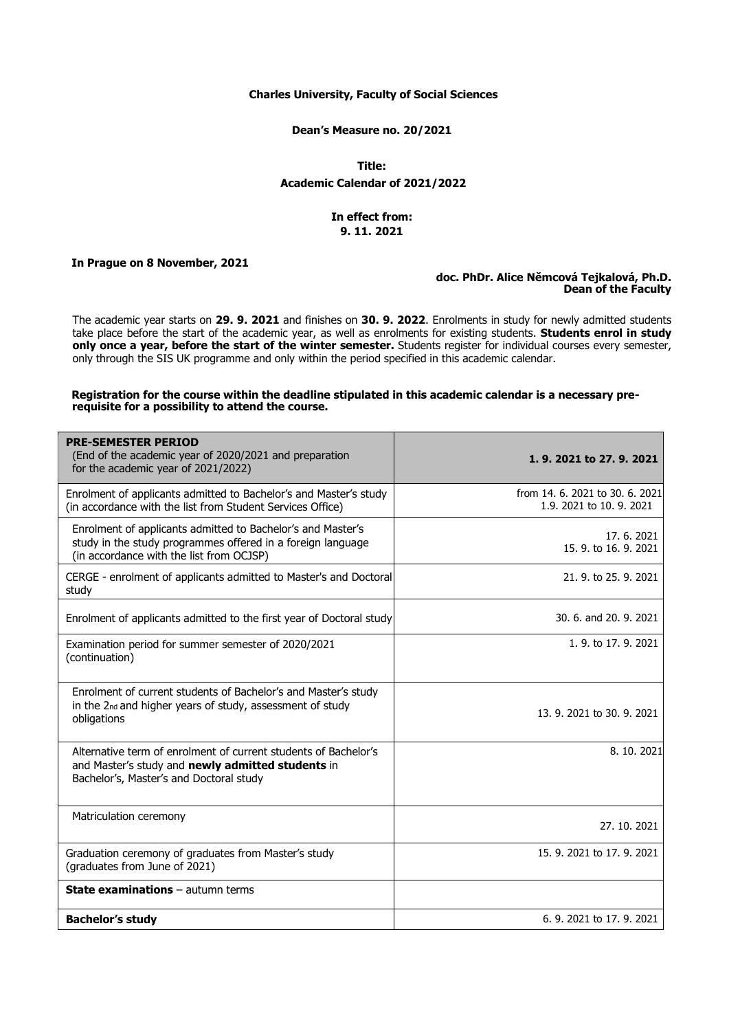### **Charles University, Faculty of Social Sciences**

#### **Dean's Measure no. 20/2021**

**Title: Academic Calendar of 2021/2022**

## **In effect from: 9. 11. 2021**

## **In Prague on 8 November, 2021**

# **doc. PhDr. Alice Němcová Tejkalová, Ph.D. Dean of the Faculty**

The academic year starts on **29. 9. 2021** and finishes on **30. 9. 2022**. Enrolments in study for newly admitted students take place before the start of the academic year, as well as enrolments for existing students. **Students enrol in study only once a year, before the start of the winter semester.** Students register for individual courses every semester, only through the SIS UK programme and only within the period specified in this academic calendar.

## **Registration for the course within the deadline stipulated in this academic calendar is a necessary prerequisite for a possibility to attend the course.**

| <b>PRE-SEMESTER PERIOD</b><br>(End of the academic year of 2020/2021 and preparation<br>for the academic year of 2021/2022)                                            | 1, 9, 2021 to 27, 9, 2021                                   |
|------------------------------------------------------------------------------------------------------------------------------------------------------------------------|-------------------------------------------------------------|
| Enrolment of applicants admitted to Bachelor's and Master's study<br>(in accordance with the list from Student Services Office)                                        | from 14, 6, 2021 to 30, 6, 2021<br>1.9, 2021 to 10, 9, 2021 |
| Enrolment of applicants admitted to Bachelor's and Master's<br>study in the study programmes offered in a foreign language<br>(in accordance with the list from OCJSP) | 17.6.2021<br>15, 9, to 16, 9, 2021                          |
| CERGE - enrolment of applicants admitted to Master's and Doctoral<br>study                                                                                             | 21, 9, to 25, 9, 2021                                       |
| Enrolment of applicants admitted to the first year of Doctoral study                                                                                                   | 30, 6, and 20, 9, 2021                                      |
| Examination period for summer semester of 2020/2021<br>(continuation)                                                                                                  | 1, 9, to 17, 9, 2021                                        |
| Enrolment of current students of Bachelor's and Master's study<br>in the 2nd and higher years of study, assessment of study<br>obligations                             | 13, 9, 2021 to 30, 9, 2021                                  |
| Alternative term of enrolment of current students of Bachelor's<br>and Master's study and newly admitted students in<br>Bachelor's, Master's and Doctoral study        | 8.10.2021                                                   |
| Matriculation ceremony                                                                                                                                                 | 27, 10, 2021                                                |
| Graduation ceremony of graduates from Master's study<br>(graduates from June of 2021)                                                                                  | 15, 9, 2021 to 17, 9, 2021                                  |
| <b>State examinations - autumn terms</b>                                                                                                                               |                                                             |
| <b>Bachelor's study</b>                                                                                                                                                | 6, 9, 2021 to 17, 9, 2021                                   |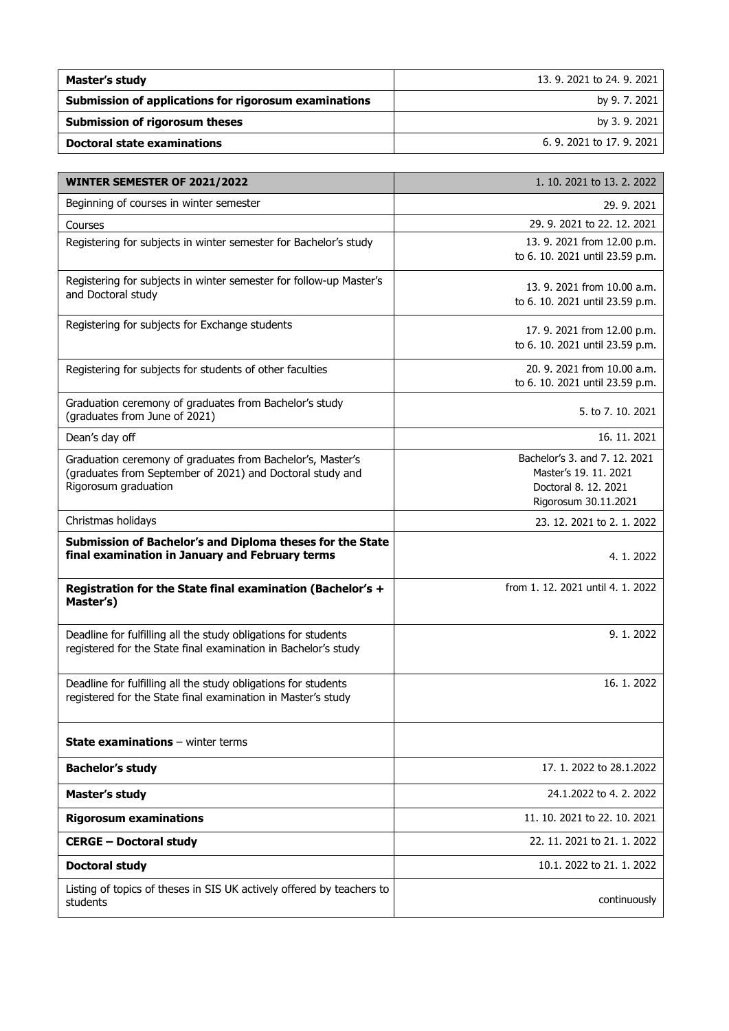| Master's study                                        | 13, 9, 2021 to 24, 9, 2021 |
|-------------------------------------------------------|----------------------------|
| Submission of applications for rigorosum examinations | by 9.7.2021                |
| Submission of rigorosum theses                        | by 3.9.2021                |
| <b>Doctoral state examinations</b>                    | 6. 9. 2021 to 17, 9, 2021  |

| WINTER SEMESTER OF 2021/2022                                                                                                     | 1. 10. 2021 to 13. 2. 2022                    |
|----------------------------------------------------------------------------------------------------------------------------------|-----------------------------------------------|
| Beginning of courses in winter semester                                                                                          | 29.9.2021                                     |
| Courses                                                                                                                          | 29, 9, 2021 to 22, 12, 2021                   |
| Registering for subjects in winter semester for Bachelor's study                                                                 | 13. 9. 2021 from 12.00 p.m.                   |
|                                                                                                                                  | to 6. 10. 2021 until 23.59 p.m.               |
| Registering for subjects in winter semester for follow-up Master's                                                               | 13, 9, 2021 from 10.00 a.m.                   |
| and Doctoral study                                                                                                               | to 6. 10. 2021 until 23.59 p.m.               |
| Registering for subjects for Exchange students                                                                                   | 17. 9. 2021 from 12.00 p.m.                   |
|                                                                                                                                  | to 6. 10. 2021 until 23.59 p.m.               |
| Registering for subjects for students of other faculties                                                                         | 20. 9. 2021 from 10.00 a.m.                   |
|                                                                                                                                  | to 6. 10. 2021 until 23.59 p.m.               |
| Graduation ceremony of graduates from Bachelor's study                                                                           | 5. to 7. 10. 2021                             |
| (graduates from June of 2021)                                                                                                    |                                               |
| Dean's day off                                                                                                                   | 16. 11. 2021                                  |
| Graduation ceremony of graduates from Bachelor's, Master's                                                                       | Bachelor's 3. and 7. 12. 2021                 |
| (graduates from September of 2021) and Doctoral study and<br>Rigorosum graduation                                                | Master's 19, 11, 2021<br>Doctoral 8, 12, 2021 |
|                                                                                                                                  | Rigorosum 30.11.2021                          |
| Christmas holidays                                                                                                               | 23. 12. 2021 to 2. 1. 2022                    |
| Submission of Bachelor's and Diploma theses for the State<br>final examination in January and February terms                     | 4.1.2022                                      |
| Registration for the State final examination (Bachelor's +<br>Master's)                                                          | from 1.12.2021 until 4.1.2022                 |
| Deadline for fulfilling all the study obligations for students<br>registered for the State final examination in Bachelor's study | 9.1.2022                                      |
| Deadline for fulfilling all the study obligations for students<br>registered for the State final examination in Master's study   | 16.1.2022                                     |
| <b>State examinations</b> $-$ winter terms                                                                                       |                                               |
| <b>Bachelor's study</b>                                                                                                          | 17, 1, 2022 to 28, 1, 2022                    |
| Master's study                                                                                                                   | 24.1.2022 to 4.2.2022                         |
| <b>Rigorosum examinations</b>                                                                                                    | 11. 10. 2021 to 22. 10. 2021                  |
| <b>CERGE - Doctoral study</b>                                                                                                    | 22, 11, 2021 to 21, 1, 2022                   |
| <b>Doctoral study</b>                                                                                                            | 10.1. 2022 to 21. 1. 2022                     |
| Listing of topics of theses in SIS UK actively offered by teachers to<br>students                                                | continuously                                  |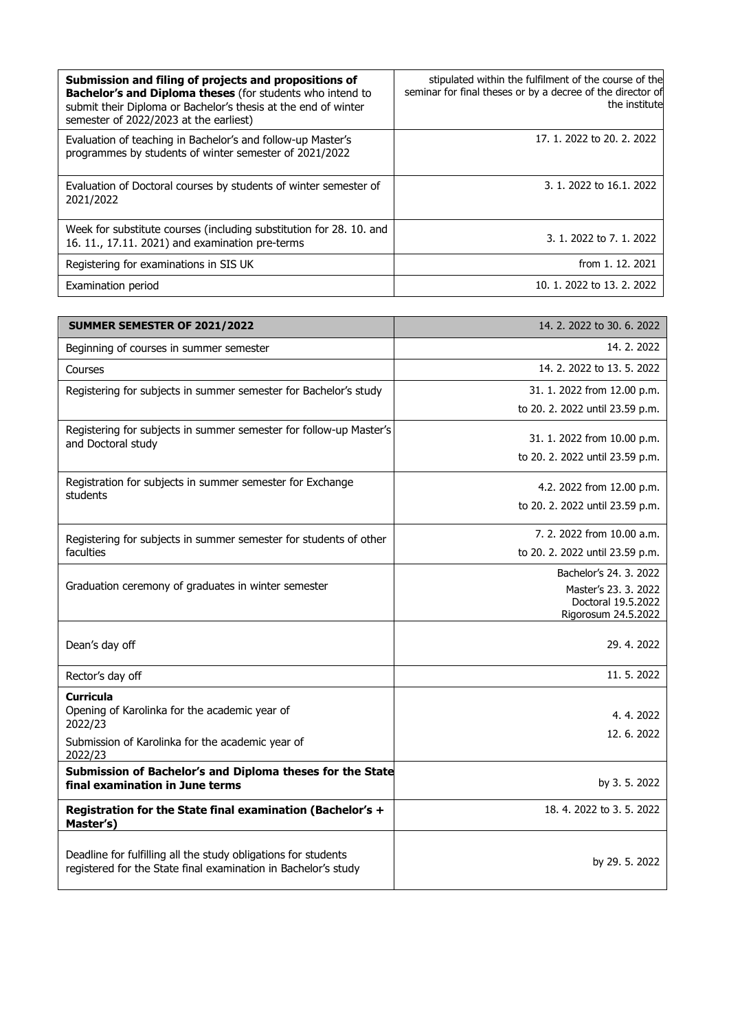| Submission and filing of projects and propositions of<br>Bachelor's and Diploma theses (for students who intend to<br>submit their Diploma or Bachelor's thesis at the end of winter<br>semester of 2022/2023 at the earliest) | stipulated within the fulfilment of the course of the<br>seminar for final theses or by a decree of the director of<br>the institute |
|--------------------------------------------------------------------------------------------------------------------------------------------------------------------------------------------------------------------------------|--------------------------------------------------------------------------------------------------------------------------------------|
| Evaluation of teaching in Bachelor's and follow-up Master's<br>programmes by students of winter semester of 2021/2022                                                                                                          | 17, 1, 2022 to 20, 2, 2022                                                                                                           |
| Evaluation of Doctoral courses by students of winter semester of<br>2021/2022                                                                                                                                                  | 3. 1. 2022 to 16.1. 2022                                                                                                             |
| Week for substitute courses (including substitution for 28, 10, and<br>16. 11., 17.11. 2021) and examination pre-terms                                                                                                         | 3. 1. 2022 to 7. 1. 2022                                                                                                             |
| Registering for examinations in SIS UK                                                                                                                                                                                         | from 1, 12, 2021                                                                                                                     |
| Examination period                                                                                                                                                                                                             | 10, 1, 2022 to 13, 2, 2022                                                                                                           |

| SUMMER SEMESTER OF 2021/2022                                                                                                     | 14, 2, 2022 to 30, 6, 2022                 |
|----------------------------------------------------------------------------------------------------------------------------------|--------------------------------------------|
| Beginning of courses in summer semester                                                                                          | 14. 2. 2022                                |
| Courses                                                                                                                          | 14. 2. 2022 to 13. 5. 2022                 |
| Registering for subjects in summer semester for Bachelor's study                                                                 | 31. 1. 2022 from 12.00 p.m.                |
|                                                                                                                                  | to 20. 2. 2022 until 23.59 p.m.            |
| Registering for subjects in summer semester for follow-up Master's<br>and Doctoral study                                         | 31. 1. 2022 from 10.00 p.m.                |
|                                                                                                                                  | to 20. 2. 2022 until 23.59 p.m.            |
| Registration for subjects in summer semester for Exchange<br>students                                                            | 4.2. 2022 from 12.00 p.m.                  |
|                                                                                                                                  | to 20. 2. 2022 until 23.59 p.m.            |
| Registering for subjects in summer semester for students of other                                                                | 7. 2. 2022 from 10.00 a.m.                 |
| faculties                                                                                                                        | to 20. 2. 2022 until 23.59 p.m.            |
|                                                                                                                                  | Bachelor's 24, 3, 2022                     |
| Graduation ceremony of graduates in winter semester                                                                              | Master's 23, 3, 2022<br>Doctoral 19.5.2022 |
|                                                                                                                                  | Rigorosum 24.5.2022                        |
| Dean's day off                                                                                                                   | 29.4.2022                                  |
| Rector's day off                                                                                                                 | 11, 5, 2022                                |
| <b>Curricula</b>                                                                                                                 |                                            |
| Opening of Karolinka for the academic year of<br>2022/23                                                                         | 4.4.2022                                   |
| Submission of Karolinka for the academic year of<br>2022/23                                                                      | 12.6.2022                                  |
| Submission of Bachelor's and Diploma theses for the State<br>final examination in June terms                                     | by 3.5.2022                                |
| Registration for the State final examination (Bachelor's +<br>Master's)                                                          | 18.4.2022 to 3.5.2022                      |
| Deadline for fulfilling all the study obligations for students<br>registered for the State final examination in Bachelor's study | by 29. 5. 2022                             |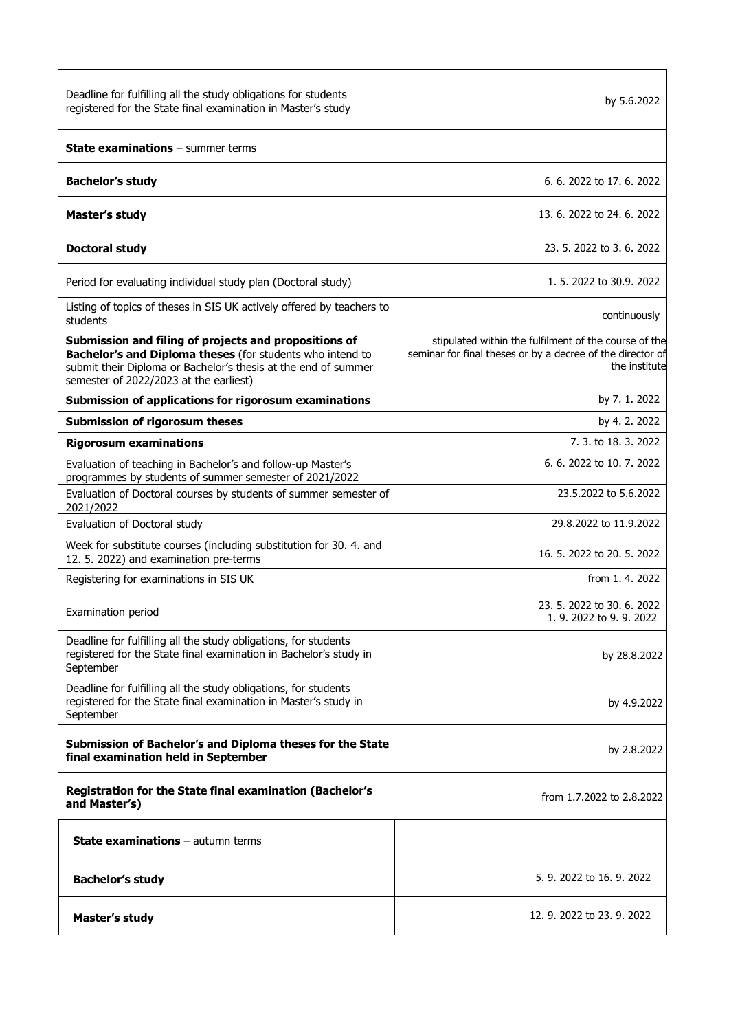| Deadline for fulfilling all the study obligations for students<br>registered for the State final examination in Master's study                                                                                                 | by 5.6.2022                                                                                                                          |
|--------------------------------------------------------------------------------------------------------------------------------------------------------------------------------------------------------------------------------|--------------------------------------------------------------------------------------------------------------------------------------|
| <b>State examinations</b> - summer terms                                                                                                                                                                                       |                                                                                                                                      |
| <b>Bachelor's study</b>                                                                                                                                                                                                        | 6, 6, 2022 to 17, 6, 2022                                                                                                            |
| Master's study                                                                                                                                                                                                                 | 13, 6, 2022 to 24, 6, 2022                                                                                                           |
| <b>Doctoral study</b>                                                                                                                                                                                                          | 23, 5, 2022 to 3, 6, 2022                                                                                                            |
| Period for evaluating individual study plan (Doctoral study)                                                                                                                                                                   | 1, 5, 2022 to 30.9, 2022                                                                                                             |
| Listing of topics of theses in SIS UK actively offered by teachers to<br>students                                                                                                                                              | continuously                                                                                                                         |
| Submission and filing of projects and propositions of<br>Bachelor's and Diploma theses (for students who intend to<br>submit their Diploma or Bachelor's thesis at the end of summer<br>semester of 2022/2023 at the earliest) | stipulated within the fulfilment of the course of the<br>seminar for final theses or by a decree of the director of<br>the institute |
| Submission of applications for rigorosum examinations                                                                                                                                                                          | by 7.1.2022                                                                                                                          |
| <b>Submission of rigorosum theses</b>                                                                                                                                                                                          | by 4.2.2022                                                                                                                          |
| <b>Rigorosum examinations</b>                                                                                                                                                                                                  | 7, 3, to 18, 3, 2022                                                                                                                 |
| Evaluation of teaching in Bachelor's and follow-up Master's<br>programmes by students of summer semester of 2021/2022                                                                                                          | 6.6.2022 to 10.7.2022                                                                                                                |
| Evaluation of Doctoral courses by students of summer semester of<br>2021/2022                                                                                                                                                  | 23.5.2022 to 5.6.2022                                                                                                                |
| Evaluation of Doctoral study                                                                                                                                                                                                   | 29.8.2022 to 11.9.2022                                                                                                               |
| Week for substitute courses (including substitution for 30. 4. and<br>12. 5. 2022) and examination pre-terms                                                                                                                   | 16. 5. 2022 to 20. 5. 2022                                                                                                           |
| Registering for examinations in SIS UK                                                                                                                                                                                         | from 1, 4, 2022                                                                                                                      |
| Examination period                                                                                                                                                                                                             | 23, 5, 2022 to 30, 6, 2022<br>1.9. 2022 to 9.9. 2022                                                                                 |
| Deadline for fulfilling all the study obligations, for students<br>registered for the State final examination in Bachelor's study in<br>September                                                                              | by 28.8.2022                                                                                                                         |
| Deadline for fulfilling all the study obligations, for students<br>registered for the State final examination in Master's study in<br>September                                                                                | by 4.9.2022                                                                                                                          |
| Submission of Bachelor's and Diploma theses for the State<br>final examination held in September                                                                                                                               | by 2.8.2022                                                                                                                          |
| <b>Registration for the State final examination (Bachelor's</b><br>and Master's)                                                                                                                                               | from 1.7.2022 to 2.8.2022                                                                                                            |
| <b>State examinations</b> $-$ autumn terms                                                                                                                                                                                     |                                                                                                                                      |
| <b>Bachelor's study</b>                                                                                                                                                                                                        | 5, 9, 2022 to 16, 9, 2022                                                                                                            |
| Master's study                                                                                                                                                                                                                 | 12. 9. 2022 to 23. 9. 2022                                                                                                           |